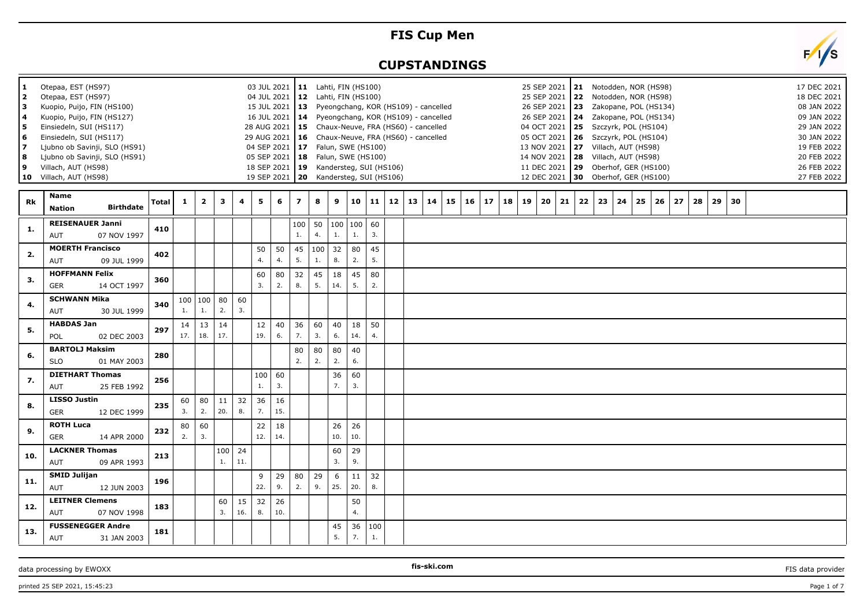## **FIS Cup Men**

## **CUPSTANDINGS**

| 1<br>$\mathbf{2}$<br>з<br>4<br>5<br>6<br>7<br>8<br>9 | Otepaa, EST (HS97)<br>Otepaa, EST (HS97)<br>Kuopio, Puijo, FIN (HS100)<br>Kuopio, Puijo, FIN (HS127)<br>Einsiedeln, SUI (HS117)<br>Einsiedeln, SUI (HS117)<br>Villach, AUT (HS98)<br>10 Villach, AUT (HS98) | Ljubno ob Savinji, SLO (HS91)<br>Ljubno ob Savinji, SLO (HS91) |       |           |                   |              |           | 04 JUL 2021<br>28 AUG 2021<br>18 SEP 2021<br>19 SEP 2021 |           | 03 JUL 2021   11 Lahti, FIN (HS100)<br>15 JUL 2021   13 Pyeongchang, KOR (HS109) - cancelled<br>16 JUL 2021   14 Pyeongchang, KOR (HS109) - cancelled<br>29 AUG 2021   16 Chaux-Neuve, FRA (HS60) - cancelled<br>04 SEP 2021   17 Falun, SWE (HS100)<br>05 SEP 2021   18   Falun, SWE (HS100) |                | $12$ Lahti, FIN (HS100)<br>19 Kandersteg, SUI (HS106)<br>20 Kandersteg, SUI (HS106) |           |           |                   | 15 Chaux-Neuve, FRA (HS60) - cancelled |       |    |    |    |    |    |    | 25 SEP 2021   21 Notodden, NOR (HS98)<br>25 SEP 2021 22 Notodden, NOR (HS98)<br>26 SEP 2021   23  Zakopane, POL (HS134)<br>26 SEP 2021   24  Zakopane, POL (HS134)<br>04 OCT 2021 25 Szczyrk, POL (HS104)<br>05 OCT 2021   26 Szczyrk, POL (HS104)<br>13 NOV 2021 27 Villach, AUT (HS98)<br>14 NOV 2021   28 Villach, AUT (HS98)<br>11 DEC 2021 29 Oberhof, GER (HS100)<br>12 DEC 2021 30 Oberhof, GER (HS100) |    |    |    |    |    |    |    |    |  | 17 DEC 2021<br>18 DEC 2021<br>08 JAN 2022<br>09 JAN 2022<br>29 JAN 2022<br>30 JAN 2022<br>19 FEB 2022<br>20 FEB 2022<br>26 FEB 2022<br>27 FEB 2022 |  |
|------------------------------------------------------|-------------------------------------------------------------------------------------------------------------------------------------------------------------------------------------------------------------|----------------------------------------------------------------|-------|-----------|-------------------|--------------|-----------|----------------------------------------------------------|-----------|-----------------------------------------------------------------------------------------------------------------------------------------------------------------------------------------------------------------------------------------------------------------------------------------------|----------------|-------------------------------------------------------------------------------------|-----------|-----------|-------------------|----------------------------------------|-------|----|----|----|----|----|----|----------------------------------------------------------------------------------------------------------------------------------------------------------------------------------------------------------------------------------------------------------------------------------------------------------------------------------------------------------------------------------------------------------------|----|----|----|----|----|----|----|----|--|----------------------------------------------------------------------------------------------------------------------------------------------------|--|
| Rk                                                   | Name<br><b>Nation</b>                                                                                                                                                                                       | <b>Birthdate</b>                                               | Total | 1         | $\mathbf{2}$      | $\mathbf{3}$ | 4         | 5                                                        | 6         | $\overline{z}$                                                                                                                                                                                                                                                                                | 8              | 9                                                                                   | 10        | 11        | $12 \mid 13 \mid$ |                                        | 14 15 | 16 | 17 | 18 | 19 | 20 | 21 | 22                                                                                                                                                                                                                                                                                                                                                                                                             | 23 | 24 | 25 | 26 | 27 | 28 | 29 | 30 |  |                                                                                                                                                    |  |
| 1.                                                   | <b>REISENAUER Janni</b><br>AUT                                                                                                                                                                              | 07 NOV 1997                                                    | 410   |           |                   |              |           |                                                          |           | 100<br>1.                                                                                                                                                                                                                                                                                     | 4.             | 50   100   100<br>1.                                                                | 1.        | 60<br>3.  |                   |                                        |       |    |    |    |    |    |    |                                                                                                                                                                                                                                                                                                                                                                                                                |    |    |    |    |    |    |    |    |  |                                                                                                                                                    |  |
| 2.                                                   | <b>MOERTH Francisco</b><br>AUT                                                                                                                                                                              | 09 JUL 1999                                                    | 402   |           |                   |              |           | 50<br>$\overline{4}$ .                                   | 50<br>4.  | 45<br>5.                                                                                                                                                                                                                                                                                      | $100$ 32<br>1. | 8.                                                                                  | 80<br>2.  | 45<br>5.  |                   |                                        |       |    |    |    |    |    |    |                                                                                                                                                                                                                                                                                                                                                                                                                |    |    |    |    |    |    |    |    |  |                                                                                                                                                    |  |
| 3.                                                   | <b>HOFFMANN Felix</b><br>GER                                                                                                                                                                                | 14 OCT 1997                                                    | 360   |           |                   |              |           | 60<br>$\overline{3}$ .                                   | 80<br>2.  | 32<br>8.                                                                                                                                                                                                                                                                                      | 45<br>5.       | 18<br>14.                                                                           | 45<br>5.  | 80<br>2.  |                   |                                        |       |    |    |    |    |    |    |                                                                                                                                                                                                                                                                                                                                                                                                                |    |    |    |    |    |    |    |    |  |                                                                                                                                                    |  |
| 4.                                                   | <b>SCHWANN Mika</b><br>AUT                                                                                                                                                                                  | 30 JUL 1999                                                    | 340   | 1.        | 100   100  <br>1. | 80<br>2.     | 60<br>3.  |                                                          |           |                                                                                                                                                                                                                                                                                               |                |                                                                                     |           |           |                   |                                        |       |    |    |    |    |    |    |                                                                                                                                                                                                                                                                                                                                                                                                                |    |    |    |    |    |    |    |    |  |                                                                                                                                                    |  |
| 5.                                                   | <b>HABDAS Jan</b><br><b>POL</b>                                                                                                                                                                             | 02 DEC 2003                                                    | 297   | 14<br>17. | 13<br>18.         | 14<br>17.    |           | 12<br>19.                                                | 40<br>6.  | 36<br>7.                                                                                                                                                                                                                                                                                      | 60<br>3.       | 40<br>6.                                                                            | 18<br>14. | 50<br>4.  |                   |                                        |       |    |    |    |    |    |    |                                                                                                                                                                                                                                                                                                                                                                                                                |    |    |    |    |    |    |    |    |  |                                                                                                                                                    |  |
| 6.                                                   | <b>BARTOLJ Maksim</b><br><b>SLO</b>                                                                                                                                                                         | 01 MAY 2003                                                    | 280   |           |                   |              |           |                                                          |           | 80<br>2.                                                                                                                                                                                                                                                                                      | 80<br>2.       | 80<br>2.                                                                            | 40<br>6.  |           |                   |                                        |       |    |    |    |    |    |    |                                                                                                                                                                                                                                                                                                                                                                                                                |    |    |    |    |    |    |    |    |  |                                                                                                                                                    |  |
| 7.                                                   | <b>DIETHART Thomas</b><br>AUT                                                                                                                                                                               | 25 FEB 1992                                                    | 256   |           |                   |              |           | 100<br>1.                                                | 60<br>3.  |                                                                                                                                                                                                                                                                                               |                | 36<br>7.                                                                            | 60<br>3.  |           |                   |                                        |       |    |    |    |    |    |    |                                                                                                                                                                                                                                                                                                                                                                                                                |    |    |    |    |    |    |    |    |  |                                                                                                                                                    |  |
| -8.                                                  | <b>LISSO Justin</b><br><b>GER</b>                                                                                                                                                                           | 12 DEC 1999                                                    | 235   | 60<br>3.  | 80<br>2.          | 11<br>20.    | 32<br>8.  | 36<br>7.                                                 | 16<br>15. |                                                                                                                                                                                                                                                                                               |                |                                                                                     |           |           |                   |                                        |       |    |    |    |    |    |    |                                                                                                                                                                                                                                                                                                                                                                                                                |    |    |    |    |    |    |    |    |  |                                                                                                                                                    |  |
| 9.                                                   | <b>ROTH Luca</b><br><b>GER</b>                                                                                                                                                                              | 14 APR 2000                                                    | 232   | 80<br>2.  | 60<br>3.          |              |           | 22<br>12.                                                | 18<br>14. |                                                                                                                                                                                                                                                                                               |                | 26<br>10.                                                                           | 26<br>10. |           |                   |                                        |       |    |    |    |    |    |    |                                                                                                                                                                                                                                                                                                                                                                                                                |    |    |    |    |    |    |    |    |  |                                                                                                                                                    |  |
| 10.                                                  | <b>LACKNER Thomas</b><br>AUT                                                                                                                                                                                | 09 APR 1993                                                    | 213   |           |                   | 100<br>1.    | 24<br>11. |                                                          |           |                                                                                                                                                                                                                                                                                               |                | 60<br>3.                                                                            | 29<br>9.  |           |                   |                                        |       |    |    |    |    |    |    |                                                                                                                                                                                                                                                                                                                                                                                                                |    |    |    |    |    |    |    |    |  |                                                                                                                                                    |  |
| 11.                                                  | <b>SMID Julijan</b><br>AUT                                                                                                                                                                                  | 12 JUN 2003                                                    | 196   |           |                   |              |           | 9<br>22.                                                 | 29<br>9.  | 80<br>2.                                                                                                                                                                                                                                                                                      | 29<br>9.       | 6<br>25.                                                                            | 11<br>20. | 32<br>8.  |                   |                                        |       |    |    |    |    |    |    |                                                                                                                                                                                                                                                                                                                                                                                                                |    |    |    |    |    |    |    |    |  |                                                                                                                                                    |  |
| 12.                                                  | <b>LEITNER Clemens</b><br>AUT                                                                                                                                                                               | 07 NOV 1998                                                    | 183   |           |                   | 60<br>3.     | 15<br>16. | 32<br>8.                                                 | 26<br>10. |                                                                                                                                                                                                                                                                                               |                |                                                                                     | 50<br>4.  |           |                   |                                        |       |    |    |    |    |    |    |                                                                                                                                                                                                                                                                                                                                                                                                                |    |    |    |    |    |    |    |    |  |                                                                                                                                                    |  |
| 13.                                                  | <b>FUSSENEGGER Andre</b><br>AUT                                                                                                                                                                             | 31 JAN 2003                                                    | 181   |           |                   |              |           |                                                          |           |                                                                                                                                                                                                                                                                                               |                | 45<br>5.                                                                            | 36<br>7.  | 100<br>1. |                   |                                        |       |    |    |    |    |    |    |                                                                                                                                                                                                                                                                                                                                                                                                                |    |    |    |    |    |    |    |    |  |                                                                                                                                                    |  |

data processing by EWOXX **FIS** data provider **FIS** data provider **FIS** data provider **FIS** data provider

**fis-ski.com**

printed 25 SEP 2021, 15:45:23 Page 1 of 7

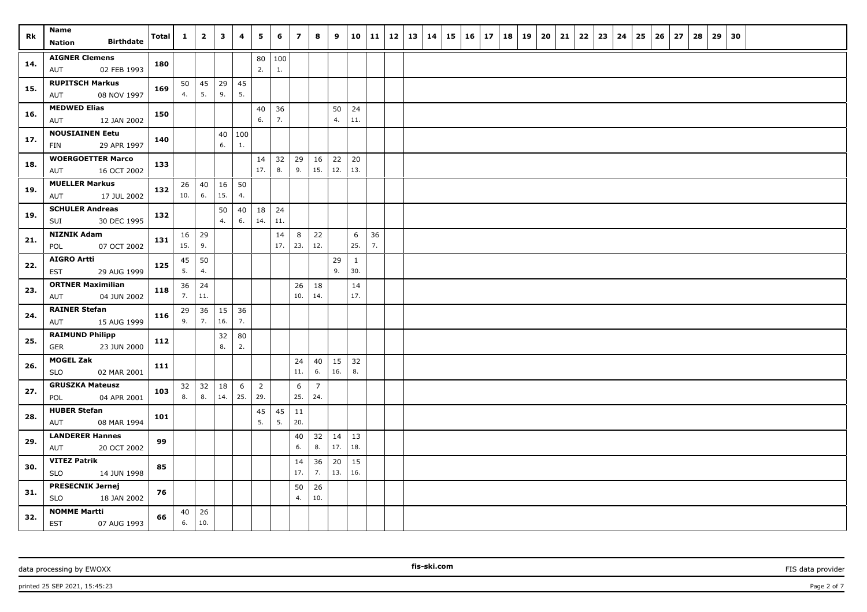| Rk  | Name<br><b>Birthdate</b>                         | Total | $\mathbf{1}$        | $\overline{2}$ | $\mathbf{3}$ | 4        | 5                     | 6         | $\overline{z}$ | 8                     | 9        | 10                  |          | $11 \mid 12$ | 13 | 14 | $15 \mid 16$ | 17 | 18 | 19 | 20 | 21 | 22 | 23 | 24 | 25 | 26 | 27 | 28 | 29 | 30 |  |  |  |
|-----|--------------------------------------------------|-------|---------------------|----------------|--------------|----------|-----------------------|-----------|----------------|-----------------------|----------|---------------------|----------|--------------|----|----|--------------|----|----|----|----|----|----|----|----|----|----|----|----|----|----|--|--|--|
|     | Nation                                           |       |                     |                |              |          |                       |           |                |                       |          |                     |          |              |    |    |              |    |    |    |    |    |    |    |    |    |    |    |    |    |    |  |  |  |
| 14. | <b>AIGNER Clemens</b>                            | 180   |                     |                |              |          | 80<br>2.              | 100<br>1. |                |                       |          |                     |          |              |    |    |              |    |    |    |    |    |    |    |    |    |    |    |    |    |    |  |  |  |
|     | 02 FEB 1993<br>AUT<br><b>RUPITSCH Markus</b>     |       |                     |                |              |          |                       |           |                |                       |          |                     |          |              |    |    |              |    |    |    |    |    |    |    |    |    |    |    |    |    |    |  |  |  |
| 15. | 08 NOV 1997<br>AUT                               | 169   | 50<br>4.            | 45<br>5.       | 29<br>9.     | 45<br>5. |                       |           |                |                       |          |                     |          |              |    |    |              |    |    |    |    |    |    |    |    |    |    |    |    |    |    |  |  |  |
|     | <b>MEDWED Elias</b>                              |       |                     |                |              |          | 40                    | 36        |                |                       | 50       | 24                  |          |              |    |    |              |    |    |    |    |    |    |    |    |    |    |    |    |    |    |  |  |  |
| 16. | 12 JAN 2002<br>AUT                               | 150   |                     |                |              |          | 6.                    | 7.        |                |                       | 4.       | 11.                 |          |              |    |    |              |    |    |    |    |    |    |    |    |    |    |    |    |    |    |  |  |  |
|     | <b>NOUSIAINEN Eetu</b>                           | 140   |                     |                | 40           | 100      |                       |           |                |                       |          |                     |          |              |    |    |              |    |    |    |    |    |    |    |    |    |    |    |    |    |    |  |  |  |
| 17. | 29 APR 1997<br>FIN                               |       |                     |                | 6.           | 1.       |                       |           |                |                       |          |                     |          |              |    |    |              |    |    |    |    |    |    |    |    |    |    |    |    |    |    |  |  |  |
| 18. | <b>WOERGOETTER Marco</b>                         | 133   |                     |                |              |          | 14                    | 32        | 29             | 16                    | 22       | 20                  |          |              |    |    |              |    |    |    |    |    |    |    |    |    |    |    |    |    |    |  |  |  |
|     | 16 OCT 2002<br>AUT                               |       |                     |                |              |          | 17.                   | 8.        | 9.             | 15.                   | 12.      | 13.                 |          |              |    |    |              |    |    |    |    |    |    |    |    |    |    |    |    |    |    |  |  |  |
| 19. | <b>MUELLER Markus</b>                            | 132   | 26                  | 40             | 16           | 50       |                       |           |                |                       |          |                     |          |              |    |    |              |    |    |    |    |    |    |    |    |    |    |    |    |    |    |  |  |  |
|     | 17 JUL 2002<br>AUT                               |       | 10.                 | 6.             | 15.          | 4.       |                       |           |                |                       |          |                     |          |              |    |    |              |    |    |    |    |    |    |    |    |    |    |    |    |    |    |  |  |  |
| 19. | <b>SCHULER Andreas</b>                           | 132   |                     |                | 50           | 40       | 18                    | 24        |                |                       |          |                     |          |              |    |    |              |    |    |    |    |    |    |    |    |    |    |    |    |    |    |  |  |  |
|     | 30 DEC 1995<br>SUI                               |       |                     |                | 4.           | 6.       | 14.                   | 11.       |                |                       |          |                     |          |              |    |    |              |    |    |    |    |    |    |    |    |    |    |    |    |    |    |  |  |  |
| 21. | <b>NIZNIK Adam</b>                               | 131   | $16 \mid 29$<br>15. | 9.             |              |          |                       | 14<br>17. | 8<br>23.       | 22<br>12.             |          | 6<br>25.            | 36<br>7. |              |    |    |              |    |    |    |    |    |    |    |    |    |    |    |    |    |    |  |  |  |
|     | 07 OCT 2002<br>POL<br><b>AIGRO Artti</b>         |       |                     |                |              |          |                       |           |                |                       |          |                     |          |              |    |    |              |    |    |    |    |    |    |    |    |    |    |    |    |    |    |  |  |  |
| 22. | EST<br>29 AUG 1999                               | 125   | 45<br>5.            | 50<br>4.       |              |          |                       |           |                |                       | 29<br>9. | $\mathbf{1}$<br>30. |          |              |    |    |              |    |    |    |    |    |    |    |    |    |    |    |    |    |    |  |  |  |
|     | <b>ORTNER Maximilian</b>                         |       | 36                  | 24             |              |          |                       |           | 26             | 18                    |          | 14                  |          |              |    |    |              |    |    |    |    |    |    |    |    |    |    |    |    |    |    |  |  |  |
| 23. | 04 JUN 2002<br>AUT                               | 118   | 7.                  | 11.            |              |          |                       |           | 10.            | 14.                   |          | 17.                 |          |              |    |    |              |    |    |    |    |    |    |    |    |    |    |    |    |    |    |  |  |  |
| 24. | <b>RAINER Stefan</b>                             |       | 29                  | 36             | 15           | 36       |                       |           |                |                       |          |                     |          |              |    |    |              |    |    |    |    |    |    |    |    |    |    |    |    |    |    |  |  |  |
|     | 15 AUG 1999<br>AUT                               | 116   | 9.                  | 7.             | 16.          | 7.       |                       |           |                |                       |          |                     |          |              |    |    |              |    |    |    |    |    |    |    |    |    |    |    |    |    |    |  |  |  |
| 25. | <b>RAIMUND Philipp</b>                           | 112   |                     |                | 32           | 80       |                       |           |                |                       |          |                     |          |              |    |    |              |    |    |    |    |    |    |    |    |    |    |    |    |    |    |  |  |  |
|     | <b>GER</b><br>23 JUN 2000                        |       |                     |                | 8.           | 2.       |                       |           |                |                       |          |                     |          |              |    |    |              |    |    |    |    |    |    |    |    |    |    |    |    |    |    |  |  |  |
| 26. | <b>MOGEL Zak</b>                                 | 111   |                     |                |              |          |                       |           | 24             | 40                    | 15       | 32                  |          |              |    |    |              |    |    |    |    |    |    |    |    |    |    |    |    |    |    |  |  |  |
|     | <b>SLO</b><br>02 MAR 2001                        |       |                     |                |              |          |                       |           | 11.            | 6.                    | 16.      | 8.                  |          |              |    |    |              |    |    |    |    |    |    |    |    |    |    |    |    |    |    |  |  |  |
| 27. | <b>GRUSZKA Mateusz</b><br>04 APR 2001<br>POL     | 103   | 32<br>8.            | 32<br>8.       | 18<br>14.    | 6<br>25. | $\overline{2}$<br>29. |           | 6<br>25.       | $\overline{7}$<br>24. |          |                     |          |              |    |    |              |    |    |    |    |    |    |    |    |    |    |    |    |    |    |  |  |  |
|     | <b>HUBER Stefan</b>                              |       |                     |                |              |          | 45                    | 45        | 11             |                       |          |                     |          |              |    |    |              |    |    |    |    |    |    |    |    |    |    |    |    |    |    |  |  |  |
| 28. | AUT<br>08 MAR 1994                               | 101   |                     |                |              |          | 5.                    | 5.        | 20.            |                       |          |                     |          |              |    |    |              |    |    |    |    |    |    |    |    |    |    |    |    |    |    |  |  |  |
|     | <b>LANDERER Hannes</b>                           |       |                     |                |              |          |                       |           | 40             | 32                    | 14       | 13                  |          |              |    |    |              |    |    |    |    |    |    |    |    |    |    |    |    |    |    |  |  |  |
| 29. | 20 OCT 2002<br>AUT                               | 99    |                     |                |              |          |                       |           | 6.             | 8.                    | 17.      | 18.                 |          |              |    |    |              |    |    |    |    |    |    |    |    |    |    |    |    |    |    |  |  |  |
| 30. | <b>VITEZ Patrik</b>                              | 85    |                     |                |              |          |                       |           | 14             | 36                    | 20       | 15                  |          |              |    |    |              |    |    |    |    |    |    |    |    |    |    |    |    |    |    |  |  |  |
|     | <b>SLO</b><br>14 JUN 1998                        |       |                     |                |              |          |                       |           | 17.            | 7.                    | 13.      | 16.                 |          |              |    |    |              |    |    |    |    |    |    |    |    |    |    |    |    |    |    |  |  |  |
| 31. | <b>PRESECNIK Jernej</b>                          | 76    |                     |                |              |          |                       |           | 50             | 26                    |          |                     |          |              |    |    |              |    |    |    |    |    |    |    |    |    |    |    |    |    |    |  |  |  |
|     | <b>SLO</b><br>18 JAN 2002                        |       |                     |                |              |          |                       |           | 4.             | 10.                   |          |                     |          |              |    |    |              |    |    |    |    |    |    |    |    |    |    |    |    |    |    |  |  |  |
| 32. | <b>NOMME Martti</b><br><b>EST</b><br>07 AUG 1993 | 66    | 40<br>6.            | 26<br>10.      |              |          |                       |           |                |                       |          |                     |          |              |    |    |              |    |    |    |    |    |    |    |    |    |    |    |    |    |    |  |  |  |

printed 25 SEP 2021, 15:45:23 Page 2 of 7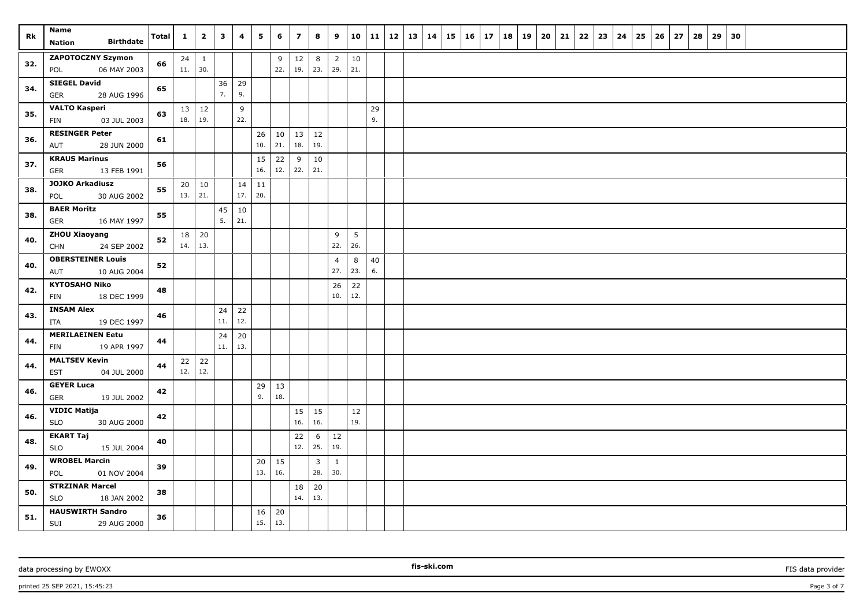| Rk  | Name                                        | Total | $\mathbf{1}$ | $\overline{2}$ | $\mathbf{3}$ | 4   | 5         | 6         | $\overline{\mathbf{z}}$ | 8            | 9              |           | 10 11 | $12 \mid 13 \mid$ | 14 | $15 \mid 16 \mid$ | 17 | 18 | 19 | 20 | 21 | 22 | 23 | 24 | 25 | 26 | 27 | 28 | 29 | 30 |  |  |  |
|-----|---------------------------------------------|-------|--------------|----------------|--------------|-----|-----------|-----------|-------------------------|--------------|----------------|-----------|-------|-------------------|----|-------------------|----|----|----|----|----|----|----|----|----|----|----|----|----|----|--|--|--|
|     | <b>Birthdate</b><br><b>Nation</b>           |       |              |                |              |     |           |           |                         |              |                |           |       |                   |    |                   |    |    |    |    |    |    |    |    |    |    |    |    |    |    |  |  |  |
| 32. | <b>ZAPOTOCZNY Szymon</b>                    | 66    | 24           | $\mathbf{1}$   |              |     |           | 9         | $12\,$                  | 8            | $\overline{2}$ | 10        |       |                   |    |                   |    |    |    |    |    |    |    |    |    |    |    |    |    |    |  |  |  |
|     | 06 MAY 2003<br>POL                          |       | 11.          | 30.            |              |     |           | 22.       | 19.                     | 23.          | 29.            | 21.       |       |                   |    |                   |    |    |    |    |    |    |    |    |    |    |    |    |    |    |  |  |  |
| 34. | <b>SIEGEL David</b>                         | 65    |              |                | 36           | 29  |           |           |                         |              |                |           |       |                   |    |                   |    |    |    |    |    |    |    |    |    |    |    |    |    |    |  |  |  |
|     | 28 AUG 1996<br><b>GER</b>                   |       |              |                | 7.           | 9.  |           |           |                         |              |                |           |       |                   |    |                   |    |    |    |    |    |    |    |    |    |    |    |    |    |    |  |  |  |
| 35. | <b>VALTO Kasperi</b>                        | 63    | 13           | 12             |              | 9   |           |           |                         |              |                |           | 29    |                   |    |                   |    |    |    |    |    |    |    |    |    |    |    |    |    |    |  |  |  |
|     | 03 JUL 2003<br>FIN                          |       | 18.          | 19.            |              | 22. |           |           |                         |              |                |           | 9.    |                   |    |                   |    |    |    |    |    |    |    |    |    |    |    |    |    |    |  |  |  |
| 36. | <b>RESINGER Peter</b><br>AUT<br>28 JUN 2000 | 61    |              |                |              |     | 26<br>10. | 10<br>21. | 13<br>18.               | 12<br>19.    |                |           |       |                   |    |                   |    |    |    |    |    |    |    |    |    |    |    |    |    |    |  |  |  |
|     | <b>KRAUS Marinus</b>                        |       |              |                |              |     |           |           |                         |              |                |           |       |                   |    |                   |    |    |    |    |    |    |    |    |    |    |    |    |    |    |  |  |  |
| 37. | <b>GER</b><br>13 FEB 1991                   | 56    |              |                |              |     | 15<br>16. | 22<br>12. | 9<br>22.                | 10<br>21.    |                |           |       |                   |    |                   |    |    |    |    |    |    |    |    |    |    |    |    |    |    |  |  |  |
|     | <b>JOJKO Arkadiusz</b>                      |       | 20           | 10             |              | 14  | 11        |           |                         |              |                |           |       |                   |    |                   |    |    |    |    |    |    |    |    |    |    |    |    |    |    |  |  |  |
| 38. | 30 AUG 2002<br>POL                          | 55    | 13.          | 21.            |              | 17. | 20.       |           |                         |              |                |           |       |                   |    |                   |    |    |    |    |    |    |    |    |    |    |    |    |    |    |  |  |  |
|     | <b>BAER Moritz</b>                          |       |              |                | 45           | 10  |           |           |                         |              |                |           |       |                   |    |                   |    |    |    |    |    |    |    |    |    |    |    |    |    |    |  |  |  |
| 38. | 16 MAY 1997<br>GER                          | 55    |              |                | 5.           | 21. |           |           |                         |              |                |           |       |                   |    |                   |    |    |    |    |    |    |    |    |    |    |    |    |    |    |  |  |  |
|     | <b>ZHOU Xiaoyang</b>                        |       | 18           | 20             |              |     |           |           |                         |              | 9              | 5         |       |                   |    |                   |    |    |    |    |    |    |    |    |    |    |    |    |    |    |  |  |  |
| 40. | 24 SEP 2002<br><b>CHN</b>                   | 52    | 14.          | 13.            |              |     |           |           |                         |              | 22.            | 26.       |       |                   |    |                   |    |    |    |    |    |    |    |    |    |    |    |    |    |    |  |  |  |
|     | <b>OBERSTEINER Louis</b>                    |       |              |                |              |     |           |           |                         |              | $\overline{4}$ | 8         | 40    |                   |    |                   |    |    |    |    |    |    |    |    |    |    |    |    |    |    |  |  |  |
| 40. | AUT<br>10 AUG 2004                          | 52    |              |                |              |     |           |           |                         |              | 27.            | 23.       | 6.    |                   |    |                   |    |    |    |    |    |    |    |    |    |    |    |    |    |    |  |  |  |
| 42. | <b>KYTOSAHO Niko</b>                        | 48    |              |                |              |     |           |           |                         |              | 26             | 22        |       |                   |    |                   |    |    |    |    |    |    |    |    |    |    |    |    |    |    |  |  |  |
|     | FIN<br>18 DEC 1999                          |       |              |                |              |     |           |           |                         |              | 10.            | 12.       |       |                   |    |                   |    |    |    |    |    |    |    |    |    |    |    |    |    |    |  |  |  |
| 43. | <b>INSAM Alex</b>                           | 46    |              |                | 24           | 22  |           |           |                         |              |                |           |       |                   |    |                   |    |    |    |    |    |    |    |    |    |    |    |    |    |    |  |  |  |
|     | ITA<br>19 DEC 1997                          |       |              |                | 11.          | 12. |           |           |                         |              |                |           |       |                   |    |                   |    |    |    |    |    |    |    |    |    |    |    |    |    |    |  |  |  |
| 44. | <b>MERILAEINEN Eetu</b>                     | 44    |              |                | 24           | 20  |           |           |                         |              |                |           |       |                   |    |                   |    |    |    |    |    |    |    |    |    |    |    |    |    |    |  |  |  |
|     | 19 APR 1997<br>FIN                          |       |              |                | 11.          | 13. |           |           |                         |              |                |           |       |                   |    |                   |    |    |    |    |    |    |    |    |    |    |    |    |    |    |  |  |  |
| 44. | <b>MALTSEV Kevin</b>                        | 44    | $22 \mid 22$ |                |              |     |           |           |                         |              |                |           |       |                   |    |                   |    |    |    |    |    |    |    |    |    |    |    |    |    |    |  |  |  |
|     | <b>EST</b><br>04 JUL 2000                   |       | 12.          | 12.            |              |     |           |           |                         |              |                |           |       |                   |    |                   |    |    |    |    |    |    |    |    |    |    |    |    |    |    |  |  |  |
| 46. | <b>GEYER Luca</b>                           | 42    |              |                |              |     | 29<br>9.  | 13<br>18. |                         |              |                |           |       |                   |    |                   |    |    |    |    |    |    |    |    |    |    |    |    |    |    |  |  |  |
|     | GER<br>19 JUL 2002<br><b>VIDIC Matija</b>   |       |              |                |              |     |           |           |                         | 15           |                |           |       |                   |    |                   |    |    |    |    |    |    |    |    |    |    |    |    |    |    |  |  |  |
| 46. | <b>SLO</b><br>30 AUG 2000                   | 42    |              |                |              |     |           |           | 15<br>16.               | 16.          |                | 12<br>19. |       |                   |    |                   |    |    |    |    |    |    |    |    |    |    |    |    |    |    |  |  |  |
|     | <b>EKART Taj</b>                            |       |              |                |              |     |           |           | 22                      | 6            | 12             |           |       |                   |    |                   |    |    |    |    |    |    |    |    |    |    |    |    |    |    |  |  |  |
| 48. | <b>SLO</b><br>15 JUL 2004                   | 40    |              |                |              |     |           |           | 12.                     | 25.          | 19.            |           |       |                   |    |                   |    |    |    |    |    |    |    |    |    |    |    |    |    |    |  |  |  |
|     | <b>WROBEL Marcin</b>                        |       |              |                |              |     | 20        | 15        |                         | $\mathbf{3}$ | $\mathbf{1}$   |           |       |                   |    |                   |    |    |    |    |    |    |    |    |    |    |    |    |    |    |  |  |  |
| 49. | POL<br>01 NOV 2004                          | 39    |              |                |              |     | 13.       | 16.       |                         | 28.          | 30.            |           |       |                   |    |                   |    |    |    |    |    |    |    |    |    |    |    |    |    |    |  |  |  |
|     | <b>STRZINAR Marcel</b>                      |       |              |                |              |     |           |           | 18                      | 20           |                |           |       |                   |    |                   |    |    |    |    |    |    |    |    |    |    |    |    |    |    |  |  |  |
| 50. | <b>SLO</b><br>18 JAN 2002                   | 38    |              |                |              |     |           |           | 14.                     | 13.          |                |           |       |                   |    |                   |    |    |    |    |    |    |    |    |    |    |    |    |    |    |  |  |  |
| 51. | <b>HAUSWIRTH Sandro</b>                     | 36    |              |                |              |     | 16        | 20        |                         |              |                |           |       |                   |    |                   |    |    |    |    |    |    |    |    |    |    |    |    |    |    |  |  |  |
|     | SUI 29 AUG 2000                             |       |              |                |              |     | 15.       | 13.       |                         |              |                |           |       |                   |    |                   |    |    |    |    |    |    |    |    |    |    |    |    |    |    |  |  |  |

**fis-ski.com**

printed 25 SEP 2021, 15:45:23 Page 3 of 7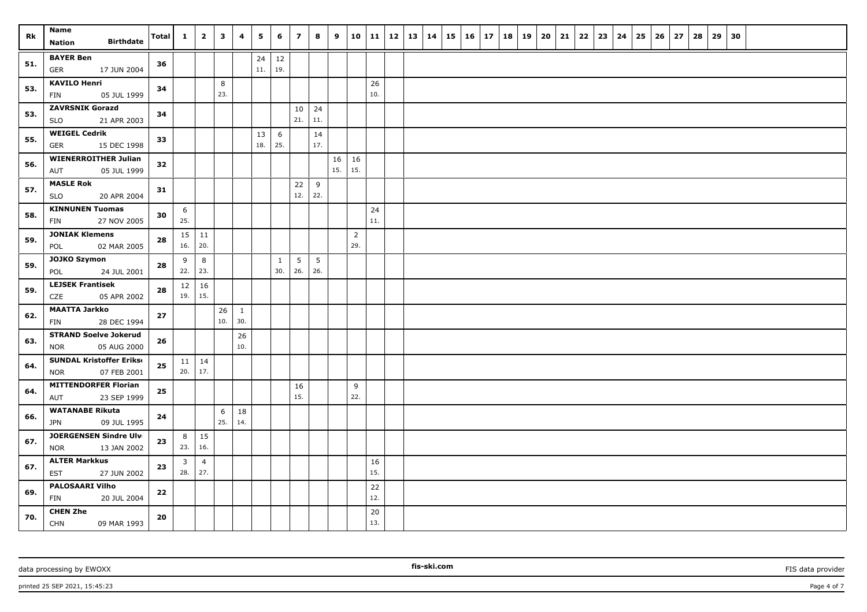| Rk  | Name<br><b>Birthdate</b><br>Nation                        | <b>Total</b> | $\mathbf{1}$   | $\overline{2}$ | $\mathbf{3}$ | 4         | 5   | 6   | $\overline{ }$ | 8        | 9         |                | 10 11     | $12 \mid 13$ | 14 | 15 | $16 \mid 17$ | 18 | 19 | 20 | 21 | 22 | 23 | 24 | 25 | 26 | 27 | 28 | 29 | 30 |  |  |
|-----|-----------------------------------------------------------|--------------|----------------|----------------|--------------|-----------|-----|-----|----------------|----------|-----------|----------------|-----------|--------------|----|----|--------------|----|----|----|----|----|----|----|----|----|----|----|----|----|--|--|
|     | <b>BAYER Ben</b>                                          |              |                |                |              |           | 24  | 12  |                |          |           |                |           |              |    |    |              |    |    |    |    |    |    |    |    |    |    |    |    |    |  |  |
| 51. | <b>GER</b><br>17 JUN 2004                                 | 36           |                |                |              |           | 11. | 19. |                |          |           |                |           |              |    |    |              |    |    |    |    |    |    |    |    |    |    |    |    |    |  |  |
|     | <b>KAVILO Henri</b>                                       |              |                |                | 8            |           |     |     |                |          |           |                | 26        |              |    |    |              |    |    |    |    |    |    |    |    |    |    |    |    |    |  |  |
| 53. | 05 JUL 1999<br>FIN                                        | 34           |                |                | 23.          |           |     |     |                |          |           |                | 10.       |              |    |    |              |    |    |    |    |    |    |    |    |    |    |    |    |    |  |  |
| 53. | <b>ZAVRSNIK Gorazd</b>                                    | 34           |                |                |              |           |     |     | 10             | 24       |           |                |           |              |    |    |              |    |    |    |    |    |    |    |    |    |    |    |    |    |  |  |
|     | <b>SLO</b><br>21 APR 2003                                 |              |                |                |              |           |     |     | 21.            | 11.      |           |                |           |              |    |    |              |    |    |    |    |    |    |    |    |    |    |    |    |    |  |  |
| 55. | <b>WEIGEL Cedrik</b>                                      | 33           |                |                |              |           | 13  | 6   |                | 14       |           |                |           |              |    |    |              |    |    |    |    |    |    |    |    |    |    |    |    |    |  |  |
|     | <b>GER</b><br>15 DEC 1998                                 |              |                |                |              |           | 18. | 25. |                | 17.      |           |                |           |              |    |    |              |    |    |    |    |    |    |    |    |    |    |    |    |    |  |  |
| 56. | <b>WIENERROITHER Julian</b><br>05 JUL 1999<br>AUT         | 32           |                |                |              |           |     |     |                |          | 16<br>15. | 16<br>15.      |           |              |    |    |              |    |    |    |    |    |    |    |    |    |    |    |    |    |  |  |
|     | <b>MASLE Rok</b>                                          |              |                |                |              |           |     |     |                |          |           |                |           |              |    |    |              |    |    |    |    |    |    |    |    |    |    |    |    |    |  |  |
| 57. | 20 APR 2004<br><b>SLO</b>                                 | 31           |                |                |              |           |     |     | 22<br>12.      | 9<br>22. |           |                |           |              |    |    |              |    |    |    |    |    |    |    |    |    |    |    |    |    |  |  |
|     | <b>KINNUNEN Tuomas</b>                                    |              | 6              |                |              |           |     |     |                |          |           |                | 24        |              |    |    |              |    |    |    |    |    |    |    |    |    |    |    |    |    |  |  |
| 58. | 27 NOV 2005<br>FIN                                        | 30           | 25.            |                |              |           |     |     |                |          |           |                | 11.       |              |    |    |              |    |    |    |    |    |    |    |    |    |    |    |    |    |  |  |
| 59. | <b>JONIAK Klemens</b>                                     | 28           | 15             | 11             |              |           |     |     |                |          |           | $\overline{2}$ |           |              |    |    |              |    |    |    |    |    |    |    |    |    |    |    |    |    |  |  |
|     | 02 MAR 2005<br>POL                                        |              | 16.            | 20.            |              |           |     |     |                |          |           | 29.            |           |              |    |    |              |    |    |    |    |    |    |    |    |    |    |    |    |    |  |  |
| 59. | JOJKO Szymon                                              | 28           | 9              | 8              |              |           |     | 1   | 5              | 5        |           |                |           |              |    |    |              |    |    |    |    |    |    |    |    |    |    |    |    |    |  |  |
|     | POL<br>24 JUL 2001                                        |              | 22.            | 23.            |              |           |     | 30. | 26.            | 26.      |           |                |           |              |    |    |              |    |    |    |    |    |    |    |    |    |    |    |    |    |  |  |
| 59. | <b>LEJSEK Frantisek</b>                                   | 28           | 12             | 16             |              |           |     |     |                |          |           |                |           |              |    |    |              |    |    |    |    |    |    |    |    |    |    |    |    |    |  |  |
|     | CZE<br>05 APR 2002                                        |              | 19.            | 15.            |              |           |     |     |                |          |           |                |           |              |    |    |              |    |    |    |    |    |    |    |    |    |    |    |    |    |  |  |
| 62. | <b>MAATTA Jarkko</b>                                      | 27           |                |                | 26<br>10.    | 1<br>30.  |     |     |                |          |           |                |           |              |    |    |              |    |    |    |    |    |    |    |    |    |    |    |    |    |  |  |
|     | FIN<br>28 DEC 1994                                        |              |                |                |              |           |     |     |                |          |           |                |           |              |    |    |              |    |    |    |    |    |    |    |    |    |    |    |    |    |  |  |
| 63. | <b>STRAND Soelve Jokerud</b><br><b>NOR</b><br>05 AUG 2000 | 26           |                |                |              | 26<br>10. |     |     |                |          |           |                |           |              |    |    |              |    |    |    |    |    |    |    |    |    |    |    |    |    |  |  |
|     | <b>SUNDAL Kristoffer Erikse</b>                           |              | $11 \mid 14$   |                |              |           |     |     |                |          |           |                |           |              |    |    |              |    |    |    |    |    |    |    |    |    |    |    |    |    |  |  |
| 64. | 07 FEB 2001<br><b>NOR</b>                                 | 25           | 20.            | 17.            |              |           |     |     |                |          |           |                |           |              |    |    |              |    |    |    |    |    |    |    |    |    |    |    |    |    |  |  |
|     | <b>MITTENDORFER Florian</b>                               |              |                |                |              |           |     |     | 16             |          |           | 9              |           |              |    |    |              |    |    |    |    |    |    |    |    |    |    |    |    |    |  |  |
| 64. | 23 SEP 1999<br>AUT                                        | 25           |                |                |              |           |     |     | 15.            |          |           | 22.            |           |              |    |    |              |    |    |    |    |    |    |    |    |    |    |    |    |    |  |  |
|     | <b>WATANABE Rikuta</b>                                    |              |                |                | 6            | 18        |     |     |                |          |           |                |           |              |    |    |              |    |    |    |    |    |    |    |    |    |    |    |    |    |  |  |
| 66. | <b>JPN</b><br>09 JUL 1995                                 | 24           |                |                | 25.          | 14.       |     |     |                |          |           |                |           |              |    |    |              |    |    |    |    |    |    |    |    |    |    |    |    |    |  |  |
| 67. | JOERGENSEN Sindre Ulv                                     | 23           | 8              | 15             |              |           |     |     |                |          |           |                |           |              |    |    |              |    |    |    |    |    |    |    |    |    |    |    |    |    |  |  |
|     | <b>NOR</b><br>13 JAN 2002                                 |              | 23.            | 16.            |              |           |     |     |                |          |           |                |           |              |    |    |              |    |    |    |    |    |    |    |    |    |    |    |    |    |  |  |
| 67. | <b>ALTER Markkus</b>                                      | 23           | $\overline{3}$ | $\overline{4}$ |              |           |     |     |                |          |           |                | 16        |              |    |    |              |    |    |    |    |    |    |    |    |    |    |    |    |    |  |  |
|     | EST<br>27 JUN 2002                                        |              | 28.            | 27.            |              |           |     |     |                |          |           |                | 15.       |              |    |    |              |    |    |    |    |    |    |    |    |    |    |    |    |    |  |  |
| 69. | <b>PALOSAARI Vilho</b>                                    | 22           |                |                |              |           |     |     |                |          |           |                | 22        |              |    |    |              |    |    |    |    |    |    |    |    |    |    |    |    |    |  |  |
|     | FIN<br>20 JUL 2004                                        |              |                |                |              |           |     |     |                |          |           |                | 12.       |              |    |    |              |    |    |    |    |    |    |    |    |    |    |    |    |    |  |  |
| 70. | <b>CHEN Zhe</b><br>CHN<br>09 MAR 1993                     | 20           |                |                |              |           |     |     |                |          |           |                | 20<br>13. |              |    |    |              |    |    |    |    |    |    |    |    |    |    |    |    |    |  |  |

**fis-ski.com**

printed 25 SEP 2021, 15:45:23 Page 4 of 7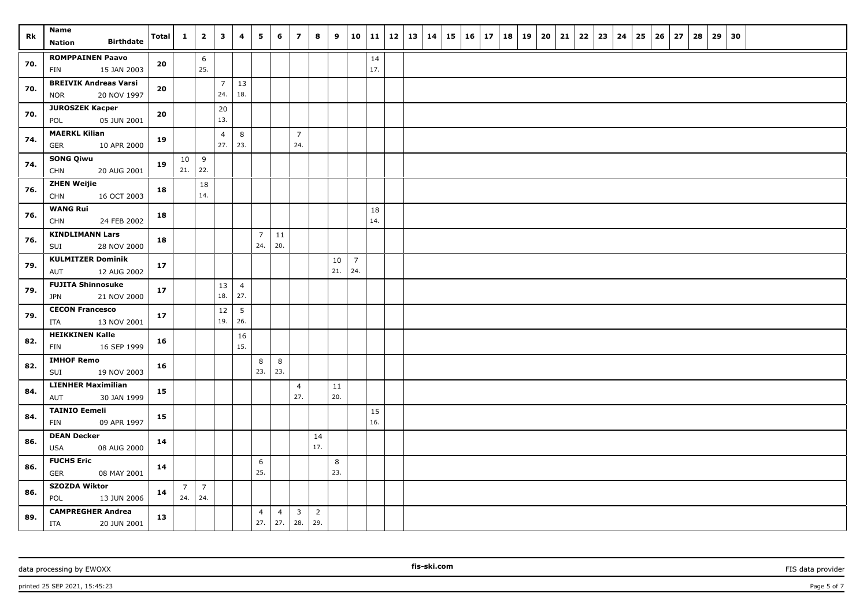| Rk  | <b>Name</b><br><b>Birthdate</b><br><b>Nation</b>          | <b>Total</b> | $\mathbf{1}$          | $\overline{2}$        | $\mathbf{3}$          | 4                      | 5                     | 6                     | $\overline{z}$                 | 8                     | 9         |                       | 10   11   |  | $12 \mid 13 \mid 14$ | 15 16 |  | $17 \mid 18 \mid 19$ | 20 | 21 | 22 | 23 | 24 | 25 | 26 | 27 | 28 | 29 | 30 |  |  |  |
|-----|-----------------------------------------------------------|--------------|-----------------------|-----------------------|-----------------------|------------------------|-----------------------|-----------------------|--------------------------------|-----------------------|-----------|-----------------------|-----------|--|----------------------|-------|--|----------------------|----|----|----|----|----|----|----|----|----|----|----|--|--|--|
| 70. | <b>ROMPPAINEN Paavo</b><br>15 JAN 2003<br>FIN             | 20           |                       | 6<br>25.              |                       |                        |                       |                       |                                |                       |           |                       | 14<br>17. |  |                      |       |  |                      |    |    |    |    |    |    |    |    |    |    |    |  |  |  |
| 70. | <b>BREIVIK Andreas Varsi</b><br>20 NOV 1997<br><b>NOR</b> | 20           |                       |                       | $\overline{7}$<br>24. | 13<br>18.              |                       |                       |                                |                       |           |                       |           |  |                      |       |  |                      |    |    |    |    |    |    |    |    |    |    |    |  |  |  |
| 70. | <b>JUROSZEK Kacper</b><br>05 JUN 2001<br>POL              | 20           |                       |                       | 20<br>13.             |                        |                       |                       |                                |                       |           |                       |           |  |                      |       |  |                      |    |    |    |    |    |    |    |    |    |    |    |  |  |  |
| 74. | <b>MAERKL Kilian</b><br><b>GER</b><br>10 APR 2000         | 19           |                       |                       | $\overline{4}$<br>27. | 8<br>23.               |                       |                       | $\overline{7}$<br>24.          |                       |           |                       |           |  |                      |       |  |                      |    |    |    |    |    |    |    |    |    |    |    |  |  |  |
| 74. | <b>SONG Qiwu</b><br><b>CHN</b><br>20 AUG 2001             | 19           | 10<br>21.             | 9<br>22.              |                       |                        |                       |                       |                                |                       |           |                       |           |  |                      |       |  |                      |    |    |    |    |    |    |    |    |    |    |    |  |  |  |
| 76. | <b>ZHEN Weijie</b><br><b>CHN</b><br>16 OCT 2003           | 18           |                       | 18<br>14.             |                       |                        |                       |                       |                                |                       |           |                       |           |  |                      |       |  |                      |    |    |    |    |    |    |    |    |    |    |    |  |  |  |
| 76. | <b>WANG Rui</b><br><b>CHN</b><br>24 FEB 2002              | 18           |                       |                       |                       |                        |                       |                       |                                |                       |           |                       | 18<br>14. |  |                      |       |  |                      |    |    |    |    |    |    |    |    |    |    |    |  |  |  |
| 76. | <b>KINDLIMANN Lars</b><br>SUI<br>28 NOV 2000              | 18           |                       |                       |                       |                        | $\overline{7}$<br>24. | 11<br>20.             |                                |                       |           |                       |           |  |                      |       |  |                      |    |    |    |    |    |    |    |    |    |    |    |  |  |  |
| 79. | <b>KULMITZER Dominik</b><br>12 AUG 2002<br>AUT            | 17           |                       |                       |                       |                        |                       |                       |                                |                       | 10<br>21. | $\overline{7}$<br>24. |           |  |                      |       |  |                      |    |    |    |    |    |    |    |    |    |    |    |  |  |  |
| 79. | <b>FUJITA Shinnosuke</b><br><b>JPN</b><br>21 NOV 2000     | 17           |                       |                       | 13<br>18.             | $\overline{4}$<br>27.  |                       |                       |                                |                       |           |                       |           |  |                      |       |  |                      |    |    |    |    |    |    |    |    |    |    |    |  |  |  |
| 79. | <b>CECON Francesco</b><br>ITA<br>13 NOV 2001              | 17           |                       |                       | 12<br>19.             | $5\phantom{.0}$<br>26. |                       |                       |                                |                       |           |                       |           |  |                      |       |  |                      |    |    |    |    |    |    |    |    |    |    |    |  |  |  |
| 82. | <b>HEIKKINEN Kalle</b><br>16 SEP 1999<br>FIN              | 16           |                       |                       |                       | 16<br>15.              |                       |                       |                                |                       |           |                       |           |  |                      |       |  |                      |    |    |    |    |    |    |    |    |    |    |    |  |  |  |
| 82. | <b>IMHOF Remo</b><br>SUI<br>19 NOV 2003                   | 16           |                       |                       |                       |                        | 8<br>23.              | $\bf 8$<br>23.        |                                |                       |           |                       |           |  |                      |       |  |                      |    |    |    |    |    |    |    |    |    |    |    |  |  |  |
| 84. | <b>LIENHER Maximilian</b><br>30 JAN 1999<br>AUT           | 15           |                       |                       |                       |                        |                       |                       | $\overline{4}$<br>27.          |                       | 11<br>20. |                       |           |  |                      |       |  |                      |    |    |    |    |    |    |    |    |    |    |    |  |  |  |
| 84. | <b>TAINIO Eemeli</b><br>FIN<br>09 APR 1997                | 15           |                       |                       |                       |                        |                       |                       |                                |                       |           |                       | 15<br>16. |  |                      |       |  |                      |    |    |    |    |    |    |    |    |    |    |    |  |  |  |
| 86. | <b>DEAN Decker</b><br><b>USA</b><br>08 AUG 2000           | 14           |                       |                       |                       |                        |                       |                       |                                | 14<br>17.             |           |                       |           |  |                      |       |  |                      |    |    |    |    |    |    |    |    |    |    |    |  |  |  |
| 86. | <b>FUCHS Eric</b><br>GER<br>08 MAY 2001                   | 14           |                       |                       |                       |                        | 6<br>25.              |                       |                                |                       | 8<br>23.  |                       |           |  |                      |       |  |                      |    |    |    |    |    |    |    |    |    |    |    |  |  |  |
| 86. | <b>SZOZDA Wiktor</b><br>POL<br>13 JUN 2006                | 14           | $\overline{7}$<br>24. | $\overline{7}$<br>24. |                       |                        |                       |                       |                                |                       |           |                       |           |  |                      |       |  |                      |    |    |    |    |    |    |    |    |    |    |    |  |  |  |
| 89. | <b>CAMPREGHER Andrea</b><br>ITA<br>20 JUN 2001            | 13           |                       |                       |                       |                        | $\overline{4}$<br>27. | $\overline{4}$<br>27. | $\overline{\mathbf{3}}$<br>28. | $\overline{2}$<br>29. |           |                       |           |  |                      |       |  |                      |    |    |    |    |    |    |    |    |    |    |    |  |  |  |

printed 25 SEP 2021, 15:45:23 Page 5 of 7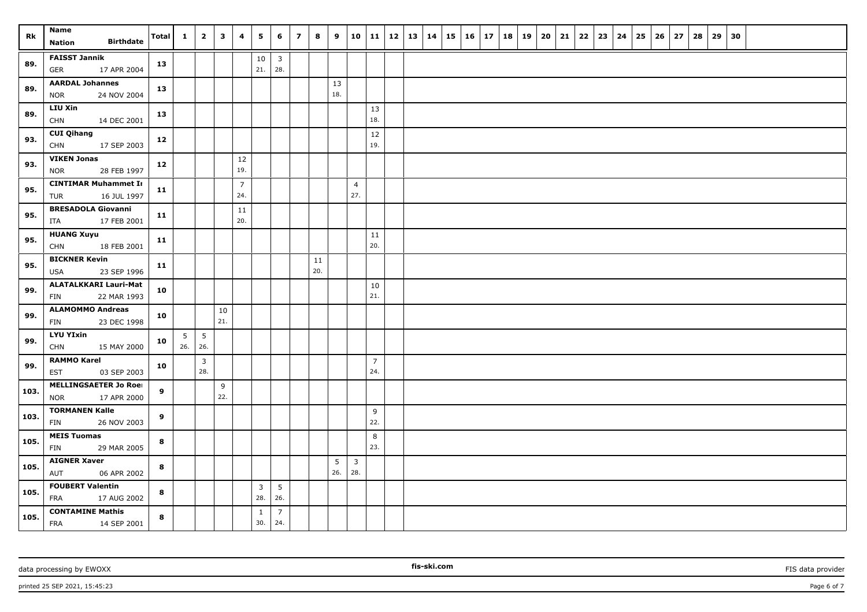| Rk   | Name                                              | Total | $\mathbf{1}$ | $\overline{2}$                 | $\overline{\mathbf{3}}$ | 4                     | $5^{\circ}$             | 6                              | $\overline{z}$ | 8   | 9   | 10                    |                       | 11   12   13   14 |  | $15 \mid 16 \mid 17$ |  | 18 | 19 | 20 | 21 | $22 \mid 23 \mid$ | 24 | 25 | 26 | 27 | 28 | 29 | 30 |  |  |
|------|---------------------------------------------------|-------|--------------|--------------------------------|-------------------------|-----------------------|-------------------------|--------------------------------|----------------|-----|-----|-----------------------|-----------------------|-------------------|--|----------------------|--|----|----|----|----|-------------------|----|----|----|----|----|----|----|--|--|
|      | <b>Birthdate</b><br>Nation                        |       |              |                                |                         |                       |                         |                                |                |     |     |                       |                       |                   |  |                      |  |    |    |    |    |                   |    |    |    |    |    |    |    |  |  |
| 89.  | <b>FAISST Jannik</b><br><b>GER</b><br>17 APR 2004 | 13    |              |                                |                         |                       | $10\,$<br>21.           | $\overline{\mathbf{3}}$<br>28. |                |     |     |                       |                       |                   |  |                      |  |    |    |    |    |                   |    |    |    |    |    |    |    |  |  |
|      | <b>AARDAL Johannes</b>                            |       |              |                                |                         |                       |                         |                                |                |     | 13  |                       |                       |                   |  |                      |  |    |    |    |    |                   |    |    |    |    |    |    |    |  |  |
| 89.  | 24 NOV 2004<br><b>NOR</b>                         | 13    |              |                                |                         |                       |                         |                                |                |     | 18. |                       |                       |                   |  |                      |  |    |    |    |    |                   |    |    |    |    |    |    |    |  |  |
| 89.  | <b>LIU Xin</b>                                    | 13    |              |                                |                         |                       |                         |                                |                |     |     |                       | 13                    |                   |  |                      |  |    |    |    |    |                   |    |    |    |    |    |    |    |  |  |
|      | <b>CHN</b><br>14 DEC 2001                         |       |              |                                |                         |                       |                         |                                |                |     |     |                       | 18.                   |                   |  |                      |  |    |    |    |    |                   |    |    |    |    |    |    |    |  |  |
| 93.  | <b>CUI Qihang</b><br><b>CHN</b><br>17 SEP 2003    | 12    |              |                                |                         |                       |                         |                                |                |     |     |                       | 12<br>19.             |                   |  |                      |  |    |    |    |    |                   |    |    |    |    |    |    |    |  |  |
| 93.  | <b>VIKEN Jonas</b>                                |       |              |                                |                         | 12                    |                         |                                |                |     |     |                       |                       |                   |  |                      |  |    |    |    |    |                   |    |    |    |    |    |    |    |  |  |
|      | 28 FEB 1997<br><b>NOR</b>                         | 12    |              |                                |                         | 19.                   |                         |                                |                |     |     |                       |                       |                   |  |                      |  |    |    |    |    |                   |    |    |    |    |    |    |    |  |  |
| 95.  | <b>CINTIMAR Muhammet In</b>                       | 11    |              |                                |                         | $\overline{7}$<br>24. |                         |                                |                |     |     | $\overline{4}$<br>27. |                       |                   |  |                      |  |    |    |    |    |                   |    |    |    |    |    |    |    |  |  |
|      | TUR<br>16 JUL 1997                                |       |              |                                |                         |                       |                         |                                |                |     |     |                       |                       |                   |  |                      |  |    |    |    |    |                   |    |    |    |    |    |    |    |  |  |
| 95.  | <b>BRESADOLA Giovanni</b><br>17 FEB 2001<br>ITA   | 11    |              |                                |                         | 11<br>20.             |                         |                                |                |     |     |                       |                       |                   |  |                      |  |    |    |    |    |                   |    |    |    |    |    |    |    |  |  |
|      | <b>HUANG Xuyu</b>                                 |       |              |                                |                         |                       |                         |                                |                |     |     |                       | 11                    |                   |  |                      |  |    |    |    |    |                   |    |    |    |    |    |    |    |  |  |
| 95.  | <b>CHN</b><br>18 FEB 2001                         | 11    |              |                                |                         |                       |                         |                                |                |     |     |                       | 20.                   |                   |  |                      |  |    |    |    |    |                   |    |    |    |    |    |    |    |  |  |
| 95.  | <b>BICKNER Kevin</b>                              | 11    |              |                                |                         |                       |                         |                                |                | 11  |     |                       |                       |                   |  |                      |  |    |    |    |    |                   |    |    |    |    |    |    |    |  |  |
|      | 23 SEP 1996<br>USA                                |       |              |                                |                         |                       |                         |                                |                | 20. |     |                       |                       |                   |  |                      |  |    |    |    |    |                   |    |    |    |    |    |    |    |  |  |
| 99.  | <b>ALATALKKARI Lauri-Mat</b>                      | 10    |              |                                |                         |                       |                         |                                |                |     |     |                       | 10                    |                   |  |                      |  |    |    |    |    |                   |    |    |    |    |    |    |    |  |  |
|      | 22 MAR 1993<br>FIN                                |       |              |                                |                         |                       |                         |                                |                |     |     |                       | 21.                   |                   |  |                      |  |    |    |    |    |                   |    |    |    |    |    |    |    |  |  |
| 99.  | <b>ALAMOMMO Andreas</b>                           | 10    |              |                                | 10                      |                       |                         |                                |                |     |     |                       |                       |                   |  |                      |  |    |    |    |    |                   |    |    |    |    |    |    |    |  |  |
|      | FIN<br>23 DEC 1998                                |       |              |                                | 21.                     |                       |                         |                                |                |     |     |                       |                       |                   |  |                      |  |    |    |    |    |                   |    |    |    |    |    |    |    |  |  |
| 99.  | <b>LYU YIxin</b>                                  | 10    | 5            | 5                              |                         |                       |                         |                                |                |     |     |                       |                       |                   |  |                      |  |    |    |    |    |                   |    |    |    |    |    |    |    |  |  |
|      | <b>CHN</b><br>15 MAY 2000                         |       | $26.$ 26.    |                                |                         |                       |                         |                                |                |     |     |                       |                       |                   |  |                      |  |    |    |    |    |                   |    |    |    |    |    |    |    |  |  |
| 99.  | <b>RAMMO Karel</b><br>03 SEP 2003<br><b>EST</b>   | 10    |              | $\overline{\mathbf{3}}$<br>28. |                         |                       |                         |                                |                |     |     |                       | $\overline{7}$<br>24. |                   |  |                      |  |    |    |    |    |                   |    |    |    |    |    |    |    |  |  |
|      | <b>MELLINGSAETER Jo Roei</b>                      |       |              |                                | 9                       |                       |                         |                                |                |     |     |                       |                       |                   |  |                      |  |    |    |    |    |                   |    |    |    |    |    |    |    |  |  |
| 103. | 17 APR 2000<br><b>NOR</b>                         | 9     |              |                                | 22.                     |                       |                         |                                |                |     |     |                       |                       |                   |  |                      |  |    |    |    |    |                   |    |    |    |    |    |    |    |  |  |
| 103. | <b>TORMANEN Kalle</b>                             | 9     |              |                                |                         |                       |                         |                                |                |     |     |                       | 9                     |                   |  |                      |  |    |    |    |    |                   |    |    |    |    |    |    |    |  |  |
|      | FIN<br>26 NOV 2003                                |       |              |                                |                         |                       |                         |                                |                |     |     |                       | 22.                   |                   |  |                      |  |    |    |    |    |                   |    |    |    |    |    |    |    |  |  |
| 105. | <b>MEIS Tuomas</b><br>FIN<br>29 MAR 2005          | 8     |              |                                |                         |                       |                         |                                |                |     |     |                       | 8<br>23.              |                   |  |                      |  |    |    |    |    |                   |    |    |    |    |    |    |    |  |  |
|      | <b>AIGNER Xaver</b>                               |       |              |                                |                         |                       |                         |                                |                |     | 5   | $\mathbf{3}$          |                       |                   |  |                      |  |    |    |    |    |                   |    |    |    |    |    |    |    |  |  |
| 105. | AUT<br>06 APR 2002                                | 8     |              |                                |                         |                       |                         |                                |                |     | 26. | 28.                   |                       |                   |  |                      |  |    |    |    |    |                   |    |    |    |    |    |    |    |  |  |
|      | <b>FOUBERT Valentin</b>                           |       |              |                                |                         |                       | $\overline{\mathbf{3}}$ | 5                              |                |     |     |                       |                       |                   |  |                      |  |    |    |    |    |                   |    |    |    |    |    |    |    |  |  |
| 105. | FRA<br>17 AUG 2002                                | 8     |              |                                |                         |                       | 28.                     | 26.                            |                |     |     |                       |                       |                   |  |                      |  |    |    |    |    |                   |    |    |    |    |    |    |    |  |  |
| 105. | <b>CONTAMINE Mathis</b><br>FRA<br>14 SEP 2001     | 8     |              |                                |                         |                       | 1<br>30.                | $\overline{7}$<br>24.          |                |     |     |                       |                       |                   |  |                      |  |    |    |    |    |                   |    |    |    |    |    |    |    |  |  |

printed 25 SEP 2021, 15:45:23 Page 6 of 7